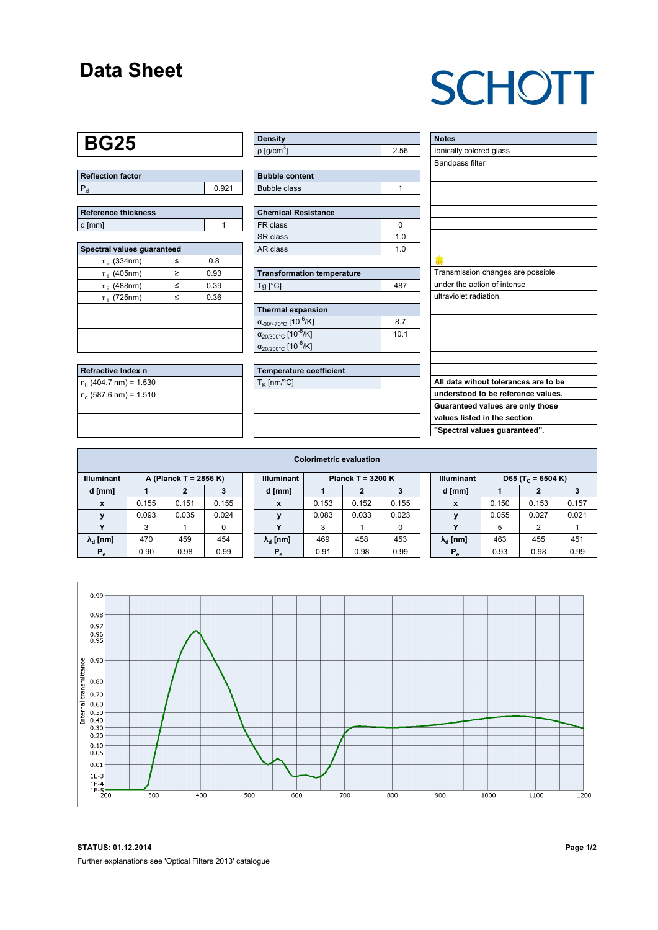### **Data Sheet**

# **SCHOTT**

#### **BG25**

| Reflection factor |     |
|-------------------|-----|
| l F               | 921 |

| <b>Reference thickness</b> |  |
|----------------------------|--|
| d [mm]                     |  |

| Spectral values guaranteed |   |      |  |  |  |  |  |  |  |  |
|----------------------------|---|------|--|--|--|--|--|--|--|--|
| $\tau$ ; (334nm)           | ≤ | 0.8  |  |  |  |  |  |  |  |  |
| $\tau$ ; (405nm)           | ≥ | 0.93 |  |  |  |  |  |  |  |  |
| $\tau$ ; (488nm)           | < | 0.39 |  |  |  |  |  |  |  |  |
| $\tau_i$ (725nm)           | < | 0.36 |  |  |  |  |  |  |  |  |
|                            |   |      |  |  |  |  |  |  |  |  |
|                            |   |      |  |  |  |  |  |  |  |  |
|                            |   |      |  |  |  |  |  |  |  |  |
|                            |   |      |  |  |  |  |  |  |  |  |

| Refractive Index n       |  |
|--------------------------|--|
| $n_h$ (404.7 nm) = 1.530 |  |
| $n_d$ (587.6 nm) = 1.510 |  |
|                          |  |
|                          |  |
|                          |  |

| <b>Density</b>           |    |
|--------------------------|----|
| $p$ [g/cm <sup>3</sup> ] | 56 |

| <b>Bubble content</b> |  |
|-----------------------|--|
| Bubble class          |  |

| <b>Chemical Resistance</b> |     |  |  |  |  |  |  |
|----------------------------|-----|--|--|--|--|--|--|
| <b>FR</b> class            |     |  |  |  |  |  |  |
| SR class                   | 1 በ |  |  |  |  |  |  |
| AR class                   | 1 በ |  |  |  |  |  |  |

| <b>Transformation temperature</b> |     |  |  |  |  |
|-----------------------------------|-----|--|--|--|--|
| $Tg$ [ $^{\circ}$ C]              | 487 |  |  |  |  |

| Thermal expansion                                 |      |  |  |  |  |  |  |  |
|---------------------------------------------------|------|--|--|--|--|--|--|--|
| $\alpha_{.30/+70\degree}$ C [10 <sup>-6</sup> /K] | 8.7  |  |  |  |  |  |  |  |
| $\alpha_{20/300^{\circ}C}$ [10 <sup>-6</sup> /K]  | 10.1 |  |  |  |  |  |  |  |
| $\alpha_{20/200^{\circ}C}$ [10 <sup>-6</sup> /K]  |      |  |  |  |  |  |  |  |

| <b>Temperature coefficient</b> |  |  |  |  |  |  |  |
|--------------------------------|--|--|--|--|--|--|--|
| $T_{\rm K}$ [nm/°C]            |  |  |  |  |  |  |  |
|                                |  |  |  |  |  |  |  |
|                                |  |  |  |  |  |  |  |
|                                |  |  |  |  |  |  |  |
|                                |  |  |  |  |  |  |  |

| <b>Notes</b>                         |
|--------------------------------------|
| lonically colored glass              |
| <b>Bandpass filter</b>               |
|                                      |
|                                      |
|                                      |
|                                      |
|                                      |
|                                      |
|                                      |
|                                      |
| Transmission changes are possible    |
| under the action of intense          |
| ultraviolet radiation.               |
|                                      |
|                                      |
|                                      |
|                                      |
|                                      |
|                                      |
| All data wihout tolerances are to be |
| understood to be reference values.   |
| Guaranteed values are only those     |
| values listed in the section         |
| "Spectral values guaranteed".        |

| <b>Colorimetric evaluation</b>             |       |       |       |                                          |                        |       |       |       |                   |                               |       |       |       |
|--------------------------------------------|-------|-------|-------|------------------------------------------|------------------------|-------|-------|-------|-------------------|-------------------------------|-------|-------|-------|
| <b>Illuminant</b><br>A (Planck T = 2856 K) |       |       |       | <b>Illuminant</b><br>Planck T = $3200 K$ |                        |       |       |       | <b>Illuminant</b> | D65 (T <sub>c</sub> = 6504 K) |       |       |       |
| d [mm]                                     |       |       |       |                                          | d [mm]                 |       |       |       |                   | d [mm]                        |       |       |       |
| X                                          | 0.155 | 0.151 | 0.155 |                                          | X                      | 0.153 | 0.152 | 0.155 |                   | X                             | 0.150 | 0.153 | 0.157 |
|                                            | 0.093 | 0.035 | 0.024 |                                          |                        | 0.083 | 0.033 | 0.023 |                   |                               | 0.055 | 0.027 | 0.021 |
|                                            | 3     |       | 0     |                                          | $\mathbf{v}$           | 3     |       | 0     |                   |                               | 5     | 2     |       |
| $\lambda_{\rm d}$ [nm]                     | 470   | 459   | 454   |                                          | $\lambda_{\rm d}$ [nm] | 469   | 458   | 453   |                   | $\lambda_{\rm d}$ [nm]        | 463   | 455   | 451   |
| $P_e$                                      | 0.90  | 0.98  | 0.99  |                                          | $P_e$                  | 0.91  | 0.98  | 0.99  |                   | $P_e$                         | 0.93  | 0.98  | 0.99  |



**STATUS: 01.12.2014 Page 1/2** Further explanations see 'Optical Filters 2013' catalogue